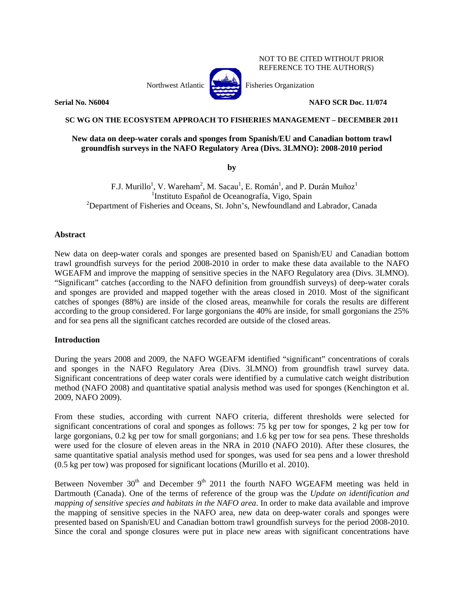Northwest Atlantic **Atlantic** Fisheries Organization



NOT TO BE CITED WITHOUT PRIOR REFERENCE TO THE AUTHOR(S)

**Serial No. N6004 NAFO SCR Doc. 11/074** 

# **SC WG ON THE ECOSYSTEM APPROACH TO FISHERIES MANAGEMENT – DECEMBER 2011**

# **New data on deep-water corals and sponges from Spanish/EU and Canadian bottom trawl groundfish surveys in the NAFO Regulatory Area (Divs. 3LMNO): 2008-2010 period**

**by** 

F.J. Murillo<sup>1</sup>, V. Wareham<sup>2</sup>, M. Sacau<sup>1</sup>, E. Román<sup>1</sup>, and P. Durán Muñoz<sup>1</sup> <sup>1</sup>Instituto Español de Oceanografía, Vigo, Spain <sup>2</sup>Department of Fisheries and Oceans, St. John's, Newfoundland and Labrador, Canada

## **Abstract**

New data on deep-water corals and sponges are presented based on Spanish/EU and Canadian bottom trawl groundfish surveys for the period 2008-2010 in order to make these data available to the NAFO WGEAFM and improve the mapping of sensitive species in the NAFO Regulatory area (Divs. 3LMNO). "Significant" catches (according to the NAFO definition from groundfish surveys) of deep-water corals and sponges are provided and mapped together with the areas closed in 2010. Most of the significant catches of sponges (88%) are inside of the closed areas, meanwhile for corals the results are different according to the group considered. For large gorgonians the 40% are inside, for small gorgonians the 25% and for sea pens all the significant catches recorded are outside of the closed areas.

# **Introduction**

During the years 2008 and 2009, the NAFO WGEAFM identified "significant" concentrations of corals and sponges in the NAFO Regulatory Area (Divs. 3LMNO) from groundfish trawl survey data. Significant concentrations of deep water corals were identified by a cumulative catch weight distribution method (NAFO 2008) and quantitative spatial analysis method was used for sponges (Kenchington et al. 2009, NAFO 2009).

From these studies, according with current NAFO criteria, different thresholds were selected for significant concentrations of coral and sponges as follows: 75 kg per tow for sponges, 2 kg per tow for large gorgonians, 0.2 kg per tow for small gorgonians; and 1.6 kg per tow for sea pens. These thresholds were used for the closure of eleven areas in the NRA in 2010 (NAFO 2010). After these closures, the same quantitative spatial analysis method used for sponges, was used for sea pens and a lower threshold (0.5 kg per tow) was proposed for significant locations (Murillo et al. 2010).

Between November  $30<sup>th</sup>$  and December  $9<sup>th</sup>$  2011 the fourth NAFO WGEAFM meeting was held in Dartmouth (Canada). One of the terms of reference of the group was the *Update on identification and mapping of sensitive species and habitats in the NAFO area*. In order to make data available and improve the mapping of sensitive species in the NAFO area, new data on deep-water corals and sponges were presented based on Spanish/EU and Canadian bottom trawl groundfish surveys for the period 2008-2010. Since the coral and sponge closures were put in place new areas with significant concentrations have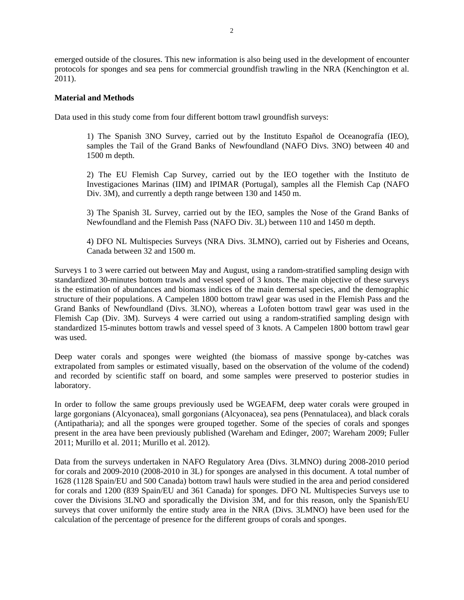emerged outside of the closures. This new information is also being used in the development of encounter protocols for sponges and sea pens for commercial groundfish trawling in the NRA (Kenchington et al. 2011).

### **Material and Methods**

Data used in this study come from four different bottom trawl groundfish surveys:

1) The Spanish 3NO Survey, carried out by the Instituto Español de Oceanografía (IEO), samples the Tail of the Grand Banks of Newfoundland (NAFO Divs. 3NO) between 40 and 1500 m depth.

2) The EU Flemish Cap Survey, carried out by the IEO together with the Instituto de Investigaciones Marinas (IIM) and IPIMAR (Portugal), samples all the Flemish Cap (NAFO Div. 3M), and currently a depth range between 130 and 1450 m.

3) The Spanish 3L Survey, carried out by the IEO, samples the Nose of the Grand Banks of Newfoundland and the Flemish Pass (NAFO Div. 3L) between 110 and 1450 m depth.

4) DFO NL Multispecies Surveys (NRA Divs. 3LMNO), carried out by Fisheries and Oceans, Canada between 32 and 1500 m.

Surveys 1 to 3 were carried out between May and August, using a random-stratified sampling design with standardized 30-minutes bottom trawls and vessel speed of 3 knots. The main objective of these surveys is the estimation of abundances and biomass indices of the main demersal species, and the demographic structure of their populations. A Campelen 1800 bottom trawl gear was used in the Flemish Pass and the Grand Banks of Newfoundland (Divs. 3LNO), whereas a Lofoten bottom trawl gear was used in the Flemish Cap (Div. 3M). Surveys 4 were carried out using a random-stratified sampling design with standardized 15-minutes bottom trawls and vessel speed of 3 knots. A Campelen 1800 bottom trawl gear was used.

Deep water corals and sponges were weighted (the biomass of massive sponge by-catches was extrapolated from samples or estimated visually, based on the observation of the volume of the codend) and recorded by scientific staff on board, and some samples were preserved to posterior studies in laboratory.

In order to follow the same groups previously used be WGEAFM, deep water corals were grouped in large gorgonians (Alcyonacea), small gorgonians (Alcyonacea), sea pens (Pennatulacea), and black corals (Antipatharia); and all the sponges were grouped together. Some of the species of corals and sponges present in the area have been previously published (Wareham and Edinger, 2007; Wareham 2009; Fuller 2011; Murillo et al. 2011; Murillo et al. 2012).

Data from the surveys undertaken in NAFO Regulatory Area (Divs. 3LMNO) during 2008-2010 period for corals and 2009-2010 (2008-2010 in 3L) for sponges are analysed in this document. A total number of 1628 (1128 Spain/EU and 500 Canada) bottom trawl hauls were studied in the area and period considered for corals and 1200 (839 Spain/EU and 361 Canada) for sponges. DFO NL Multispecies Surveys use to cover the Divisions 3LNO and sporadically the Division 3M, and for this reason, only the Spanish/EU surveys that cover uniformly the entire study area in the NRA (Divs. 3LMNO) have been used for the calculation of the percentage of presence for the different groups of corals and sponges.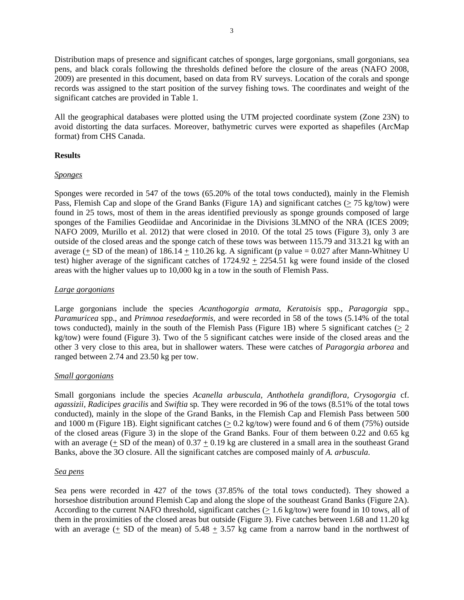Distribution maps of presence and significant catches of sponges, large gorgonians, small gorgonians, sea pens, and black corals following the thresholds defined before the closure of the areas (NAFO 2008, 2009) are presented in this document, based on data from RV surveys. Location of the corals and sponge records was assigned to the start position of the survey fishing tows. The coordinates and weight of the significant catches are provided in Table 1.

All the geographical databases were plotted using the UTM projected coordinate system (Zone 23N) to avoid distorting the data surfaces. Moreover, bathymetric curves were exported as shapefiles (ArcMap format) from CHS Canada.

### **Results**

### *Sponges*

Sponges were recorded in 547 of the tows (65.20% of the total tows conducted), mainly in the Flemish Pass, Flemish Cap and slope of the Grand Banks (Figure 1A) and significant catches (> 75 kg/tow) were found in 25 tows, most of them in the areas identified previously as sponge grounds composed of large sponges of the Families Geodiidae and Ancorinidae in the Divisions 3LMNO of the NRA (ICES 2009; NAFO 2009, Murillo et al. 2012) that were closed in 2010. Of the total 25 tows (Figure 3), only 3 are outside of the closed areas and the sponge catch of these tows was between 115.79 and 313.21 kg with an average (+ SD of the mean) of  $186.14 + 110.26$  kg. A significant (p value = 0.027 after Mann-Whitney U test) higher average of the significant catches of 1724.92 + 2254.51 kg were found inside of the closed areas with the higher values up to 10,000 kg in a tow in the south of Flemish Pass.

### *Large gorgonians*

Large gorgonians include the species *Acanthogorgia armata*, *Keratoisis* spp., *Paragorgia* spp., *Paramuricea* spp., and *Primnoa resedaeformis*, and were recorded in 58 of the tows (5.14% of the total tows conducted), mainly in the south of the Flemish Pass (Figure 1B) where 5 significant catches  $(> 2$ kg/tow) were found (Figure 3). Two of the 5 significant catches were inside of the closed areas and the other 3 very close to this area, but in shallower waters. These were catches of *Paragorgia arborea* and ranged between 2.74 and 23.50 kg per tow.

## *Small gorgonians*

Small gorgonians include the species *Acanella arbuscula, Anthothela grandiflora, Crysogorgia* cf. *agassizii, Radicipes gracilis* and *Swiftia* sp*.* They were recorded in 96 of the tows (8.51% of the total tows conducted), mainly in the slope of the Grand Banks, in the Flemish Cap and Flemish Pass between 500 and 1000 m (Figure 1B). Eight significant catches  $(> 0.2 \text{ kg/tow})$  were found and 6 of them (75%) outside of the closed areas (Figure 3) in the slope of the Grand Banks. Four of them between 0.22 and 0.65 kg with an average  $(+ SD)$  of the mean) of  $0.37 + 0.19$  kg are clustered in a small area in the southeast Grand Banks, above the 3O closure. All the significant catches are composed mainly of *A. arbuscula*.

#### *Sea pens*

Sea pens were recorded in 427 of the tows (37.85% of the total tows conducted). They showed a horseshoe distribution around Flemish Cap and along the slope of the southeast Grand Banks (Figure 2A). According to the current NAFO threshold, significant catches (> 1.6 kg/tow) were found in 10 tows, all of them in the proximities of the closed areas but outside (Figure 3). Five catches between 1.68 and 11.20 kg with an average  $($   $\pm$  SD of the mean) of 5.48  $\pm$  3.57 kg came from a narrow band in the northwest of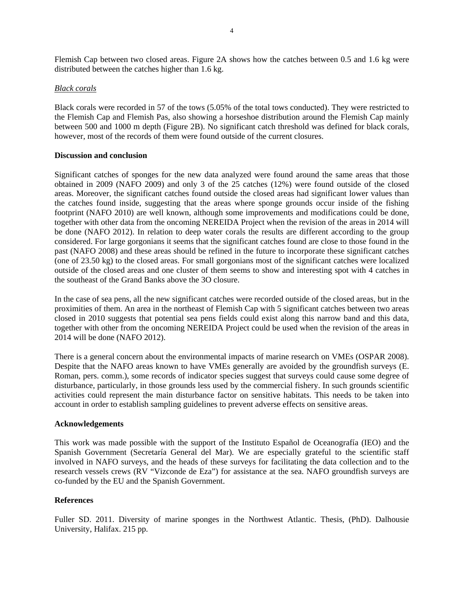Flemish Cap between two closed areas. Figure 2A shows how the catches between 0.5 and 1.6 kg were distributed between the catches higher than 1.6 kg.

### *Black corals*

Black corals were recorded in 57 of the tows (5.05% of the total tows conducted). They were restricted to the Flemish Cap and Flemish Pas, also showing a horseshoe distribution around the Flemish Cap mainly between 500 and 1000 m depth (Figure 2B). No significant catch threshold was defined for black corals, however, most of the records of them were found outside of the current closures.

#### **Discussion and conclusion**

Significant catches of sponges for the new data analyzed were found around the same areas that those obtained in 2009 (NAFO 2009) and only 3 of the 25 catches (12%) were found outside of the closed areas. Moreover, the significant catches found outside the closed areas had significant lower values than the catches found inside, suggesting that the areas where sponge grounds occur inside of the fishing footprint (NAFO 2010) are well known, although some improvements and modifications could be done, together with other data from the oncoming NEREIDA Project when the revision of the areas in 2014 will be done (NAFO 2012). In relation to deep water corals the results are different according to the group considered. For large gorgonians it seems that the significant catches found are close to those found in the past (NAFO 2008) and these areas should be refined in the future to incorporate these significant catches (one of 23.50 kg) to the closed areas. For small gorgonians most of the significant catches were localized outside of the closed areas and one cluster of them seems to show and interesting spot with 4 catches in the southeast of the Grand Banks above the 3O closure.

In the case of sea pens, all the new significant catches were recorded outside of the closed areas, but in the proximities of them. An area in the northeast of Flemish Cap with 5 significant catches between two areas closed in 2010 suggests that potential sea pens fields could exist along this narrow band and this data, together with other from the oncoming NEREIDA Project could be used when the revision of the areas in 2014 will be done (NAFO 2012).

There is a general concern about the environmental impacts of marine research on VMEs (OSPAR 2008). Despite that the NAFO areas known to have VMEs generally are avoided by the groundfish surveys (E. Roman, pers. comm.), some records of indicator species suggest that surveys could cause some degree of disturbance, particularly, in those grounds less used by the commercial fishery. In such grounds scientific activities could represent the main disturbance factor on sensitive habitats. This needs to be taken into account in order to establish sampling guidelines to prevent adverse effects on sensitive areas.

#### **Acknowledgements**

This work was made possible with the support of the Instituto Español de Oceanografía (IEO) and the Spanish Government (Secretaría General del Mar). We are especially grateful to the scientific staff involved in NAFO surveys, and the heads of these surveys for facilitating the data collection and to the research vessels crews (RV "Vizconde de Eza") for assistance at the sea. NAFO groundfish surveys are co-funded by the EU and the Spanish Government.

## **References**

Fuller SD. 2011. Diversity of marine sponges in the Northwest Atlantic. Thesis, (PhD). Dalhousie University, Halifax. 215 pp.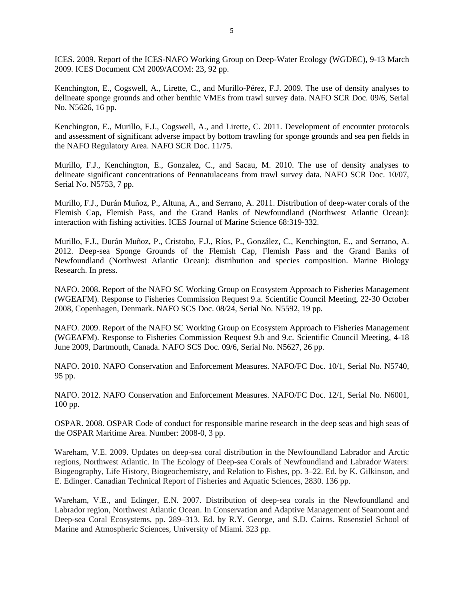ICES. 2009. Report of the ICES-NAFO Working Group on Deep-Water Ecology (WGDEC), 9-13 March 2009. ICES Document CM 2009/ACOM: 23, 92 pp.

Kenchington, E., Cogswell, A., Lirette, C., and Murillo-Pérez, F.J. 2009. The use of density analyses to delineate sponge grounds and other benthic VMEs from trawl survey data. NAFO SCR Doc. 09/6, Serial No. N5626, 16 pp.

Kenchington, E., Murillo, F.J., Cogswell, A., and Lirette, C. 2011. Development of encounter protocols and assessment of significant adverse impact by bottom trawling for sponge grounds and sea pen fields in the NAFO Regulatory Area. NAFO SCR Doc. 11/75.

Murillo, F.J., Kenchington, E., Gonzalez, C., and Sacau, M. 2010. The use of density analyses to delineate significant concentrations of Pennatulaceans from trawl survey data. NAFO SCR Doc. 10/07, Serial No. N5753, 7 pp.

Murillo, F.J., Durán Muñoz, P., Altuna, A., and Serrano, A. 2011. Distribution of deep-water corals of the Flemish Cap, Flemish Pass, and the Grand Banks of Newfoundland (Northwest Atlantic Ocean): interaction with fishing activities. ICES Journal of Marine Science 68:319-332.

Murillo, F.J., Durán Muñoz, P., Cristobo, F.J., Ríos, P., González, C., Kenchington, E., and Serrano, A. 2012. Deep-sea Sponge Grounds of the Flemish Cap, Flemish Pass and the Grand Banks of Newfoundland (Northwest Atlantic Ocean): distribution and species composition. Marine Biology Research. In press.

NAFO. 2008. Report of the NAFO SC Working Group on Ecosystem Approach to Fisheries Management (WGEAFM). Response to Fisheries Commission Request 9.a. Scientific Council Meeting, 22-30 October 2008, Copenhagen, Denmark. NAFO SCS Doc. 08/24, Serial No. N5592, 19 pp.

NAFO. 2009. Report of the NAFO SC Working Group on Ecosystem Approach to Fisheries Management (WGEAFM). Response to Fisheries Commission Request 9.b and 9.c. Scientific Council Meeting, 4-18 June 2009, Dartmouth, Canada. NAFO SCS Doc. 09/6, Serial No. N5627, 26 pp.

NAFO. 2010. NAFO Conservation and Enforcement Measures. NAFO/FC Doc. 10/1, Serial No. N5740, 95 pp.

NAFO. 2012. NAFO Conservation and Enforcement Measures. NAFO/FC Doc. 12/1, Serial No. N6001, 100 pp.

OSPAR. 2008. OSPAR Code of conduct for responsible marine research in the deep seas and high seas of the OSPAR Maritime Area. Number: 2008-0, 3 pp.

Wareham, V.E. 2009. Updates on deep-sea coral distribution in the Newfoundland Labrador and Arctic regions, Northwest Atlantic. In The Ecology of Deep-sea Corals of Newfoundland and Labrador Waters: Biogeography, Life History, Biogeochemistry, and Relation to Fishes, pp. 3–22. Ed. by K. Gilkinson, and E. Edinger. Canadian Technical Report of Fisheries and Aquatic Sciences, 2830. 136 pp.

Wareham, V.E., and Edinger, E.N. 2007. Distribution of deep-sea corals in the Newfoundland and Labrador region, Northwest Atlantic Ocean. In Conservation and Adaptive Management of Seamount and Deep-sea Coral Ecosystems, pp. 289–313. Ed. by R.Y. George, and S.D. Cairns. Rosenstiel School of Marine and Atmospheric Sciences, University of Miami. 323 pp.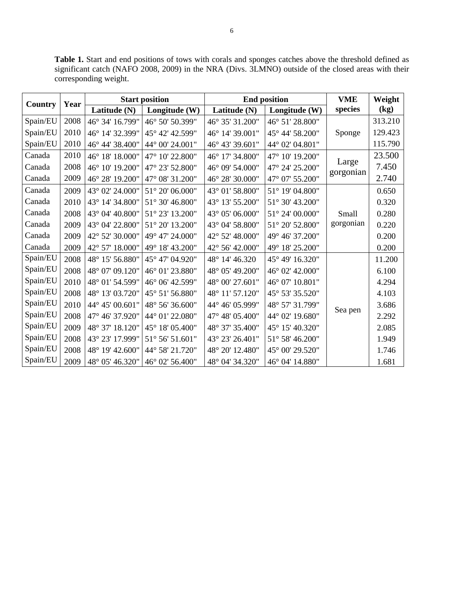**Table 1.** Start and end positions of tows with corals and sponges catches above the threshold defined as significant catch (NAFO 2008, 2009) in the NRA (Divs. 3LMNO) outside of the closed areas with their corresponding weight.

| Country  | Year | <b>Start position</b> |                            | <b>End position</b> |                 | <b>VME</b>         | Weight  |
|----------|------|-----------------------|----------------------------|---------------------|-----------------|--------------------|---------|
|          |      | Latitude (N)          | Longitude (W)              | Latitude (N)        | Longitude (W)   | species            | (kg)    |
| Spain/EU | 2008 | 46° 34' 16.799"       | 46° 50' 50.399"            | 46° 35' 31.200"     | 46° 51' 28.800" | Sponge             | 313.210 |
| Spain/EU | 2010 | 46° 14' 32.399"       | 45° 42' 42.599"            | 46° 14' 39.001"     | 45° 44' 58.200" |                    | 129.423 |
| Spain/EU | 2010 | 46° 44' 38.400"       | 44° 00' 24.001"            | 46° 43' 39.601"     | 44° 02' 04.801" |                    | 115.790 |
| Canada   | 2010 | 46° 18' 18.000"       | 47° 10' 22.800"            | 46° 17' 34.800"     | 47° 10' 19.200" | Large<br>gorgonian | 23.500  |
| Canada   | 2008 | 46° 10' 19.200"       | 47° 23' 52.800"            | 46° 09' 54.000"     | 47° 24' 25.200" |                    | 7.450   |
| Canada   | 2009 | 46° 28' 19.200"       | 47° 08' 31.200"            | 46° 28' 30.000"     | 47° 07' 55.200" |                    | 2.740   |
| Canada   | 2009 | 43° 02' 24.000"       | $51^{\circ}$ 20' 06.000"   | 43° 01' 58.800"     | 51° 19' 04.800" |                    | 0.650   |
| Canada   | 2010 | 43° 14' 34.800"       | 51° 30' 46.800"            | 43° 13' 55.200"     | 51° 30' 43.200" | Small<br>gorgonian | 0.320   |
| Canada   | 2008 | 43° 04' 40.800"       | 51° 23' 13.200"            | 43° 05' 06.000"     | 51° 24' 00.000" |                    | 0.280   |
| Canada   | 2009 | 43° 04' 22.800"       | 51° 20' 13.200"            | 43° 04' 58.800"     | 51° 20' 52.800" |                    | 0.220   |
| Canada   | 2009 | 42° 52' 30.000"       | 49° 47' 24.000"            | 42° 52' 48.000"     | 49° 46' 37.200" |                    | 0.200   |
| Canada   | 2009 | 42° 57' 18.000"       | 49° 18' 43.200"            | 42° 56' 42.000"     | 49° 18' 25.200" |                    | 0.200   |
| Spain/EU | 2008 | 48° 15' 56.880"       | 45° 47' 04.920"            | 48° 14' 46.320      | 45° 49' 16.320" |                    | 11.200  |
| Spain/EU | 2008 | 48° 07' 09.120"       | 46° 01' 23.880"            | 48° 05' 49.200"     | 46° 02' 42.000" | Sea pen            | 6.100   |
| Spain/EU | 2010 | 48° 01' 54.599"       | 46° 06' 42.599"            | 48° 00' 27.601"     | 46° 07' 10.801" |                    | 4.294   |
| Spain/EU | 2008 | 48° 13' 03.720"       | 45° 51' 56.880"            | 48° 11' 57.120"     | 45° 53' 35.520" |                    | 4.103   |
| Spain/EU | 2010 | 44° 45' 00.601"       | 48° 56' 36.600"            | 44° 46' 05.999"     | 48° 57' 31.799" |                    | 3.686   |
| Spain/EU | 2008 | 47° 46' 37.920"       | 44° 01' 22.080"            | 47° 48' 05.400"     | 44° 02' 19.680" |                    | 2.292   |
| Spain/EU | 2009 | 48° 37' 18.120"       | 45° 18′ 05.400"            | 48° 37' 35.400"     | 45° 15' 40.320" |                    | 2.085   |
| Spain/EU | 2008 | 43° 23' 17.999"       | $51^{\circ}$ 56' $51.601"$ | 43° 23' 26.401"     | 51° 58' 46.200" |                    | 1.949   |
| Spain/EU | 2008 | 48° 19' 42.600"       | 44° 58' 21.720"            | 48° 20' 12.480"     | 45° 00' 29.520" |                    | 1.746   |
| Spain/EU | 2009 | 48° 05' 46.320"       | 46° 02′ 56.400"            | 48° 04' 34.320"     | 46° 04′ 14.880" |                    | 1.681   |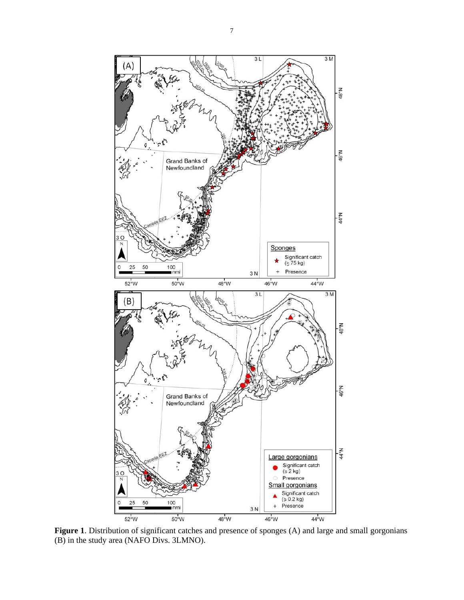

Figure 1. Distribution of significant catches and presence of sponges (A) and large and small gorgonians (B) in the study area (NAFO Divs. 3LMNO).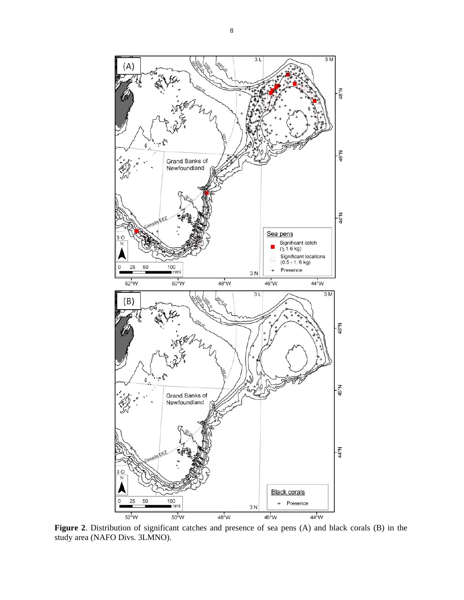

**Figure 2**. Distribution of significant catches and presence of sea pens (A) and black corals (B) in the study area (NAFO Divs. 3LMNO).